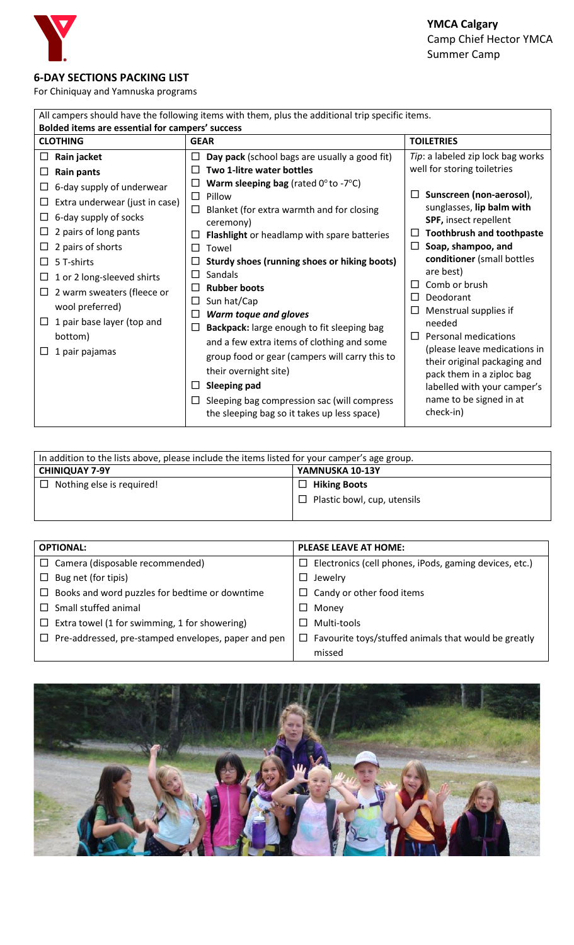

## **6-DAY SECTIONS PACKING LIST**

For Chiniquay and Yamnuska programs

| All campers should have the following items with them, plus the additional trip specific items. |                                                             |                                                    |  |  |  |
|-------------------------------------------------------------------------------------------------|-------------------------------------------------------------|----------------------------------------------------|--|--|--|
| Bolded items are essential for campers' success                                                 |                                                             |                                                    |  |  |  |
| <b>CLOTHING</b>                                                                                 | <b>GEAR</b>                                                 | <b>TOILETRIES</b>                                  |  |  |  |
| Rain jacket<br>ப                                                                                | Day pack (school bags are usually a good fit)<br>$\perp$    | Tip: a labeled zip lock bag works                  |  |  |  |
| <b>Rain pants</b><br>⊔                                                                          | Two 1-litre water bottles                                   | well for storing toiletries                        |  |  |  |
| 6-day supply of underwear<br>$\Box$                                                             | <b>Warm sleeping bag</b> (rated $0^\circ$ to -7 $^\circ$ C) |                                                    |  |  |  |
| Extra underwear (just in case)<br>⊔                                                             | Pillow<br>П                                                 | Sunscreen (non-aerosol),                           |  |  |  |
| 6-day supply of socks<br>$\Box$                                                                 | Blanket (for extra warmth and for closing<br>$\Box$         | sunglasses, lip balm with<br>SPF, insect repellent |  |  |  |
| 2 pairs of long pants<br>ப                                                                      | ceremony)<br>Flashlight or headlamp with spare batteries    | <b>Toothbrush and toothpaste</b>                   |  |  |  |
| 2 pairs of shorts<br>ப                                                                          | Towel<br>ΙI                                                 | Soap, shampoo, and<br>П                            |  |  |  |
| 5 T-shirts<br>П                                                                                 | Sturdy shoes (running shoes or hiking boots)                | conditioner (small bottles                         |  |  |  |
| 1 or 2 long-sleeved shirts<br>⊔                                                                 | Sandals                                                     | are best)                                          |  |  |  |
| 2 warm sweaters (fleece or<br>$\Box$                                                            | <b>Rubber boots</b>                                         | Comb or brush<br>$\perp$                           |  |  |  |
| wool preferred)                                                                                 | Sun hat/Cap<br>$\Box$                                       | Deodorant<br>$\perp$                               |  |  |  |
| 1 pair base layer (top and<br>$\Box$                                                            | Warm toque and gloves                                       | Menstrual supplies if<br>needed                    |  |  |  |
| bottom)                                                                                         | Backpack: large enough to fit sleeping bag<br>⊔             | Personal medications<br>$\perp$                    |  |  |  |
| 1 pair pajamas                                                                                  | and a few extra items of clothing and some                  | (please leave medications in                       |  |  |  |
|                                                                                                 | group food or gear (campers will carry this to              | their original packaging and                       |  |  |  |
|                                                                                                 | their overnight site)                                       | pack them in a ziploc bag                          |  |  |  |
|                                                                                                 | <b>Sleeping pad</b><br>$\perp$                              | labelled with your camper's                        |  |  |  |
|                                                                                                 | Sleeping bag compression sac (will compress                 | name to be signed in at                            |  |  |  |
|                                                                                                 | the sleeping bag so it takes up less space)                 | check-in)                                          |  |  |  |

| In addition to the lists above, please include the items listed for your camper's age group. |                                    |  |
|----------------------------------------------------------------------------------------------|------------------------------------|--|
| <b>CHINIQUAY 7-9Y</b>                                                                        | YAMNUSKA 10-13Y                    |  |
| $\Box$ Nothing else is required!                                                             | $\Box$ Hiking Boots                |  |
|                                                                                              | $\Box$ Plastic bowl, cup, utensils |  |
|                                                                                              |                                    |  |

| <b>OPTIONAL:</b>                                         | <b>PLEASE LEAVE AT HOME:</b>                              |  |  |
|----------------------------------------------------------|-----------------------------------------------------------|--|--|
| $\Box$ Camera (disposable recommended)                   | Electronics (cell phones, iPods, gaming devices, etc.)    |  |  |
| Bug net (for tipis)<br>$\Box$                            | Jewelry                                                   |  |  |
| Books and word puzzles for bedtime or downtime           | Candy or other food items<br>ப                            |  |  |
| Small stuffed animal                                     | Money                                                     |  |  |
| Extra towel (1 for swimming, 1 for showering)<br>$\perp$ | Multi-tools                                               |  |  |
| Pre-addressed, pre-stamped envelopes, paper and pen      | Favourite toys/stuffed animals that would be greatly<br>ப |  |  |
|                                                          | missed                                                    |  |  |